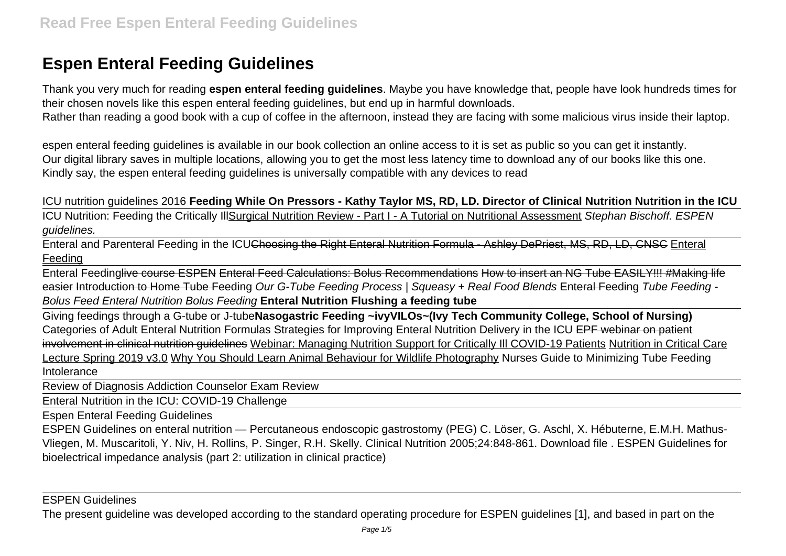# **Espen Enteral Feeding Guidelines**

Thank you very much for reading **espen enteral feeding guidelines**. Maybe you have knowledge that, people have look hundreds times for their chosen novels like this espen enteral feeding guidelines, but end up in harmful downloads. Rather than reading a good book with a cup of coffee in the afternoon, instead they are facing with some malicious virus inside their laptop.

espen enteral feeding guidelines is available in our book collection an online access to it is set as public so you can get it instantly. Our digital library saves in multiple locations, allowing you to get the most less latency time to download any of our books like this one. Kindly say, the espen enteral feeding guidelines is universally compatible with any devices to read

#### ICU nutrition guidelines 2016 **Feeding While On Pressors - Kathy Taylor MS, RD, LD. Director of Clinical Nutrition Nutrition in the ICU**

ICU Nutrition: Feeding the Critically IllSurgical Nutrition Review - Part I - A Tutorial on Nutritional Assessment Stephan Bischoff. ESPEN guidelines.

Enteral and Parenteral Feeding in the ICUChoosing the Right Enteral Nutrition Formula - Ashley DePriest, MS, RD, LD, CNSC Enteral Feeding

Enteral Feedinglive course ESPEN Enteral Feed Calculations: Bolus Recommendations How to insert an NG Tube EASILY!!! #Making life easier Introduction to Home Tube Feeding Our G-Tube Feeding Process | Squeasy + Real Food Blends Enteral Feeding Tube Feeding -Bolus Feed Enteral Nutrition Bolus Feeding **Enteral Nutrition Flushing a feeding tube**

Giving feedings through a G-tube or J-tube**Nasogastric Feeding ~ivyVILOs~(Ivy Tech Community College, School of Nursing)** Categories of Adult Enteral Nutrition Formulas Strategies for Improving Enteral Nutrition Delivery in the ICU EPF webinar on patient involvement in clinical nutrition guidelines Webinar: Managing Nutrition Support for Critically III COVID-19 Patients Nutrition in Critical Care Lecture Spring 2019 v3.0 Why You Should Learn Animal Behaviour for Wildlife Photography Nurses Guide to Minimizing Tube Feeding Intolerance

Review of Diagnosis Addiction Counselor Exam Review

Enteral Nutrition in the ICU: COVID-19 Challenge

Espen Enteral Feeding Guidelines

ESPEN Guidelines on enteral nutrition — Percutaneous endoscopic gastrostomy (PEG) C. Löser, G. Aschl, X. Hébuterne, E.M.H. Mathus-Vliegen, M. Muscaritoli, Y. Niv, H. Rollins, P. Singer, R.H. Skelly. Clinical Nutrition 2005;24:848-861. Download file . ESPEN Guidelines for bioelectrical impedance analysis (part 2: utilization in clinical practice)

ESPEN Guidelines

The present guideline was developed according to the standard operating procedure for ESPEN guidelines [1], and based in part on the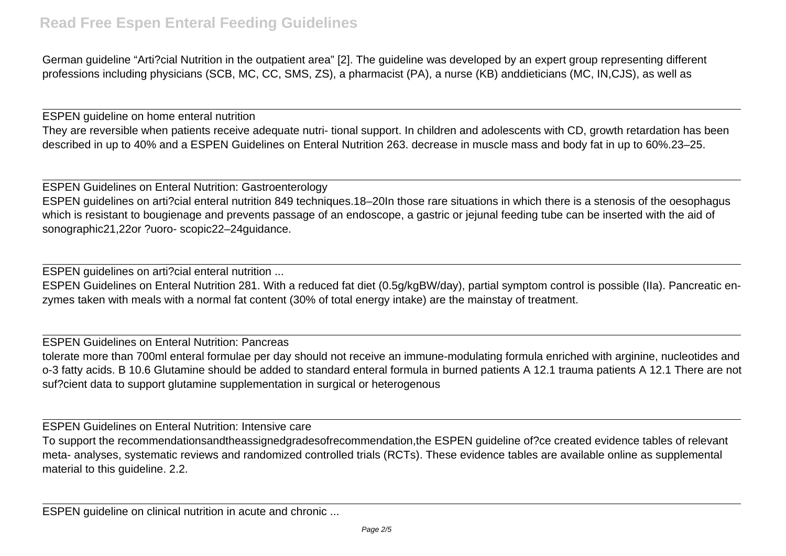### **Read Free Espen Enteral Feeding Guidelines**

German guideline "Arti?cial Nutrition in the outpatient area" [2]. The guideline was developed by an expert group representing different professions including physicians (SCB, MC, CC, SMS, ZS), a pharmacist (PA), a nurse (KB) anddieticians (MC, IN,CJS), as well as

ESPEN guideline on home enteral nutrition They are reversible when patients receive adequate nutri- tional support. In children and adolescents with CD, growth retardation has been described in up to 40% and a ESPEN Guidelines on Enteral Nutrition 263. decrease in muscle mass and body fat in up to 60%.23–25.

ESPEN Guidelines on Enteral Nutrition: Gastroenterology ESPEN guidelines on arti?cial enteral nutrition 849 techniques.18–20In those rare situations in which there is a stenosis of the oesophagus which is resistant to bougienage and prevents passage of an endoscope, a gastric or jejunal feeding tube can be inserted with the aid of sonographic21,22or ?uoro- scopic22–24guidance.

ESPEN guidelines on arti?cial enteral nutrition ...

ESPEN Guidelines on Enteral Nutrition 281. With a reduced fat diet (0.5g/kgBW/day), partial symptom control is possible (IIa). Pancreatic enzymes taken with meals with a normal fat content (30% of total energy intake) are the mainstay of treatment.

ESPEN Guidelines on Enteral Nutrition: Pancreas

tolerate more than 700ml enteral formulae per day should not receive an immune-modulating formula enriched with arginine, nucleotides and o-3 fatty acids. B 10.6 Glutamine should be added to standard enteral formula in burned patients A 12.1 trauma patients A 12.1 There are not suf?cient data to support glutamine supplementation in surgical or heterogenous

ESPEN Guidelines on Enteral Nutrition: Intensive care

To support the recommendationsandtheassignedgradesofrecommendation,the ESPEN guideline of?ce created evidence tables of relevant meta- analyses, systematic reviews and randomized controlled trials (RCTs). These evidence tables are available online as supplemental material to this quideline. 2.2.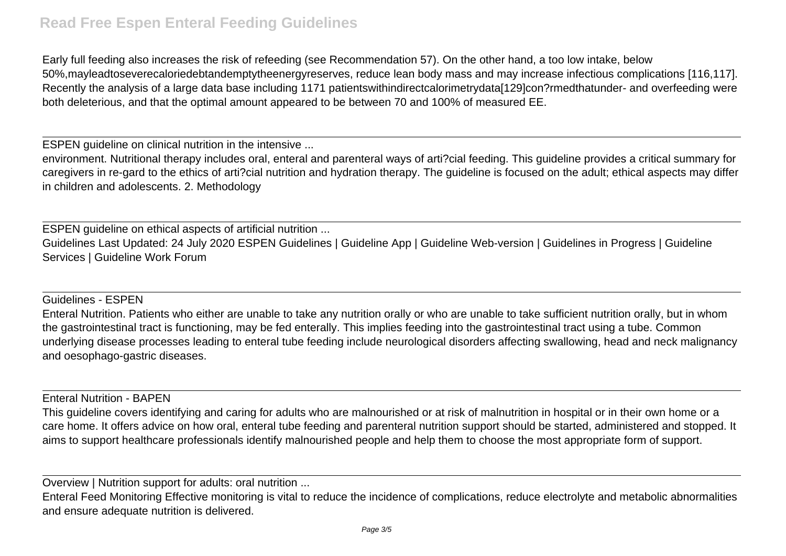### **Read Free Espen Enteral Feeding Guidelines**

Early full feeding also increases the risk of refeeding (see Recommendation 57). On the other hand, a too low intake, below 50%,mayleadtoseverecaloriedebtandemptytheenergyreserves, reduce lean body mass and may increase infectious complications [116,117]. Recently the analysis of a large data base including 1171 patientswithindirectcalorimetrydatal 129 lcon?rmedthatunder- and overfeeding were both deleterious, and that the optimal amount appeared to be between 70 and 100% of measured EE.

ESPEN guideline on clinical nutrition in the intensive ...

environment. Nutritional therapy includes oral, enteral and parenteral ways of arti?cial feeding. This guideline provides a critical summary for caregivers in re-gard to the ethics of arti?cial nutrition and hydration therapy. The guideline is focused on the adult; ethical aspects may differ in children and adolescents. 2. Methodology

ESPEN guideline on ethical aspects of artificial nutrition ... Guidelines Last Updated: 24 July 2020 ESPEN Guidelines | Guideline App | Guideline Web-version | Guidelines in Progress | Guideline Services | Guideline Work Forum

#### Guidelines - ESPEN

Enteral Nutrition. Patients who either are unable to take any nutrition orally or who are unable to take sufficient nutrition orally, but in whom the gastrointestinal tract is functioning, may be fed enterally. This implies feeding into the gastrointestinal tract using a tube. Common underlying disease processes leading to enteral tube feeding include neurological disorders affecting swallowing, head and neck malignancy and oesophago-gastric diseases.

### Enteral Nutrition - BAPEN

This guideline covers identifying and caring for adults who are malnourished or at risk of malnutrition in hospital or in their own home or a care home. It offers advice on how oral, enteral tube feeding and parenteral nutrition support should be started, administered and stopped. It aims to support healthcare professionals identify malnourished people and help them to choose the most appropriate form of support.

Overview | Nutrition support for adults: oral nutrition ...

Enteral Feed Monitoring Effective monitoring is vital to reduce the incidence of complications, reduce electrolyte and metabolic abnormalities and ensure adequate nutrition is delivered.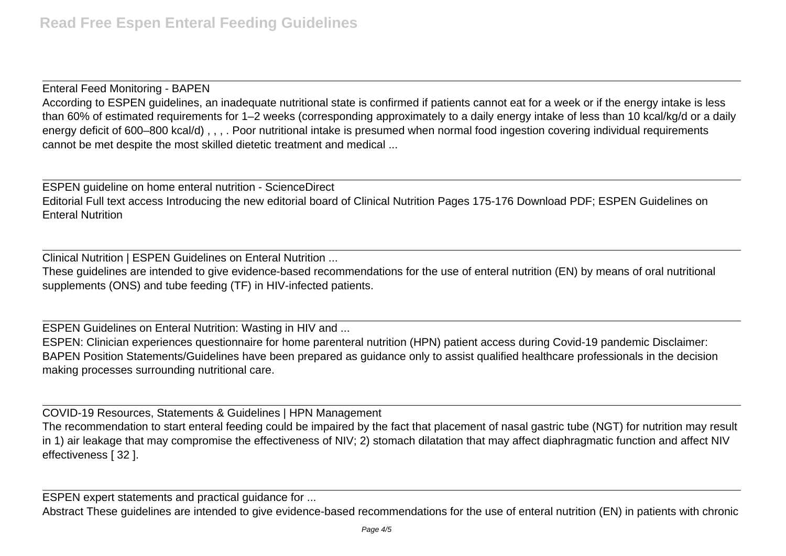Enteral Feed Monitoring - BAPEN

According to ESPEN guidelines, an inadequate nutritional state is confirmed if patients cannot eat for a week or if the energy intake is less than 60% of estimated requirements for 1–2 weeks (corresponding approximately to a daily energy intake of less than 10 kcal/kg/d or a daily energy deficit of 600–800 kcal/d) , , , . Poor nutritional intake is presumed when normal food ingestion covering individual requirements cannot be met despite the most skilled dietetic treatment and medical ...

ESPEN guideline on home enteral nutrition - ScienceDirect Editorial Full text access Introducing the new editorial board of Clinical Nutrition Pages 175-176 Download PDF; ESPEN Guidelines on Enteral Nutrition

Clinical Nutrition | ESPEN Guidelines on Enteral Nutrition ...

These guidelines are intended to give evidence-based recommendations for the use of enteral nutrition (EN) by means of oral nutritional supplements (ONS) and tube feeding (TF) in HIV-infected patients.

ESPEN Guidelines on Enteral Nutrition: Wasting in HIV and ...

ESPEN: Clinician experiences questionnaire for home parenteral nutrition (HPN) patient access during Covid-19 pandemic Disclaimer: BAPEN Position Statements/Guidelines have been prepared as guidance only to assist qualified healthcare professionals in the decision making processes surrounding nutritional care.

COVID-19 Resources, Statements & Guidelines | HPN Management

The recommendation to start enteral feeding could be impaired by the fact that placement of nasal gastric tube (NGT) for nutrition may result in 1) air leakage that may compromise the effectiveness of NIV; 2) stomach dilatation that may affect diaphragmatic function and affect NIV effectiveness [ 32 ].

ESPEN expert statements and practical guidance for ...

Abstract These guidelines are intended to give evidence-based recommendations for the use of enteral nutrition (EN) in patients with chronic